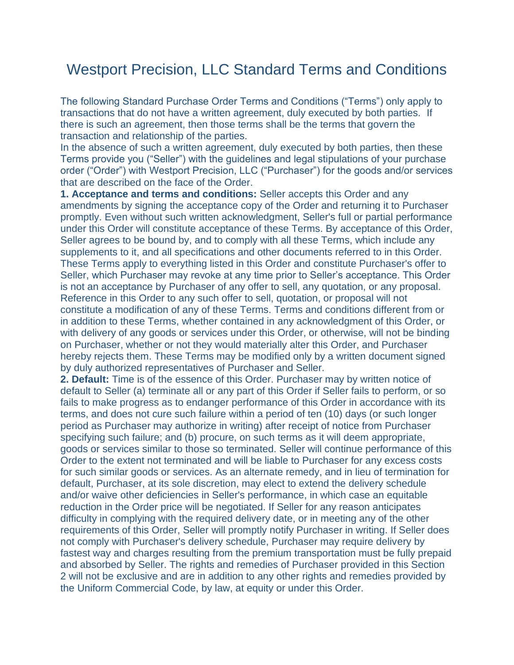## Westport Precision, LLC Standard Terms and Conditions

The following Standard Purchase Order Terms and Conditions ("Terms") only apply to transactions that do not have a written agreement, duly executed by both parties. If there is such an agreement, then those terms shall be the terms that govern the transaction and relationship of the parties.

In the absence of such a written agreement, duly executed by both parties, then these Terms provide you ("Seller") with the guidelines and legal stipulations of your purchase order ("Order") with Westport Precision, LLC ("Purchaser") for the goods and/or services that are described on the face of the Order.

**1. Acceptance and terms and conditions:** Seller accepts this Order and any amendments by signing the acceptance copy of the Order and returning it to Purchaser promptly. Even without such written acknowledgment, Seller's full or partial performance under this Order will constitute acceptance of these Terms. By acceptance of this Order, Seller agrees to be bound by, and to comply with all these Terms, which include any supplements to it, and all specifications and other documents referred to in this Order. These Terms apply to everything listed in this Order and constitute Purchaser's offer to Seller, which Purchaser may revoke at any time prior to Seller's acceptance. This Order is not an acceptance by Purchaser of any offer to sell, any quotation, or any proposal. Reference in this Order to any such offer to sell, quotation, or proposal will not constitute a modification of any of these Terms. Terms and conditions different from or in addition to these Terms, whether contained in any acknowledgment of this Order, or with delivery of any goods or services under this Order, or otherwise, will not be binding on Purchaser, whether or not they would materially alter this Order, and Purchaser hereby rejects them. These Terms may be modified only by a written document signed by duly authorized representatives of Purchaser and Seller.

**2. Default:** Time is of the essence of this Order. Purchaser may by written notice of default to Seller (a) terminate all or any part of this Order if Seller fails to perform, or so fails to make progress as to endanger performance of this Order in accordance with its terms, and does not cure such failure within a period of ten (10) days (or such longer period as Purchaser may authorize in writing) after receipt of notice from Purchaser specifying such failure; and (b) procure, on such terms as it will deem appropriate, goods or services similar to those so terminated. Seller will continue performance of this Order to the extent not terminated and will be liable to Purchaser for any excess costs for such similar goods or services. As an alternate remedy, and in lieu of termination for default, Purchaser, at its sole discretion, may elect to extend the delivery schedule and/or waive other deficiencies in Seller's performance, in which case an equitable reduction in the Order price will be negotiated. If Seller for any reason anticipates difficulty in complying with the required delivery date, or in meeting any of the other requirements of this Order, Seller will promptly notify Purchaser in writing. If Seller does not comply with Purchaser's delivery schedule, Purchaser may require delivery by fastest way and charges resulting from the premium transportation must be fully prepaid and absorbed by Seller. The rights and remedies of Purchaser provided in this Section 2 will not be exclusive and are in addition to any other rights and remedies provided by the Uniform Commercial Code, by law, at equity or under this Order.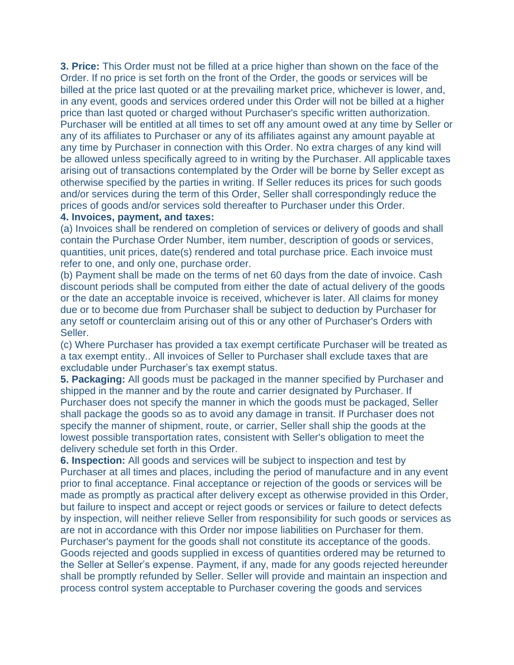**3. Price:** This Order must not be filled at a price higher than shown on the face of the Order. If no price is set forth on the front of the Order, the goods or services will be billed at the price last quoted or at the prevailing market price, whichever is lower, and, in any event, goods and services ordered under this Order will not be billed at a higher price than last quoted or charged without Purchaser's specific written authorization. Purchaser will be entitled at all times to set off any amount owed at any time by Seller or any of its affiliates to Purchaser or any of its affiliates against any amount payable at any time by Purchaser in connection with this Order. No extra charges of any kind will be allowed unless specifically agreed to in writing by the Purchaser. All applicable taxes arising out of transactions contemplated by the Order will be borne by Seller except as otherwise specified by the parties in writing. If Seller reduces its prices for such goods and/or services during the term of this Order, Seller shall correspondingly reduce the prices of goods and/or services sold thereafter to Purchaser under this Order.

## **4. Invoices, payment, and taxes:**

(a) Invoices shall be rendered on completion of services or delivery of goods and shall contain the Purchase Order Number, item number, description of goods or services, quantities, unit prices, date(s) rendered and total purchase price. Each invoice must refer to one, and only one, purchase order.

(b) Payment shall be made on the terms of net 60 days from the date of invoice. Cash discount periods shall be computed from either the date of actual delivery of the goods or the date an acceptable invoice is received, whichever is later. All claims for money due or to become due from Purchaser shall be subject to deduction by Purchaser for any setoff or counterclaim arising out of this or any other of Purchaser's Orders with Seller.

(c) Where Purchaser has provided a tax exempt certificate Purchaser will be treated as a tax exempt entity.. All invoices of Seller to Purchaser shall exclude taxes that are excludable under Purchaser's tax exempt status.

**5. Packaging:** All goods must be packaged in the manner specified by Purchaser and shipped in the manner and by the route and carrier designated by Purchaser. If Purchaser does not specify the manner in which the goods must be packaged, Seller shall package the goods so as to avoid any damage in transit. If Purchaser does not specify the manner of shipment, route, or carrier, Seller shall ship the goods at the lowest possible transportation rates, consistent with Seller's obligation to meet the delivery schedule set forth in this Order.

**6. Inspection:** All goods and services will be subject to inspection and test by Purchaser at all times and places, including the period of manufacture and in any event prior to final acceptance. Final acceptance or rejection of the goods or services will be made as promptly as practical after delivery except as otherwise provided in this Order, but failure to inspect and accept or reject goods or services or failure to detect defects by inspection, will neither relieve Seller from responsibility for such goods or services as are not in accordance with this Order nor impose liabilities on Purchaser for them. Purchaser's payment for the goods shall not constitute its acceptance of the goods. Goods rejected and goods supplied in excess of quantities ordered may be returned to the Seller at Seller's expense. Payment, if any, made for any goods rejected hereunder shall be promptly refunded by Seller. Seller will provide and maintain an inspection and process control system acceptable to Purchaser covering the goods and services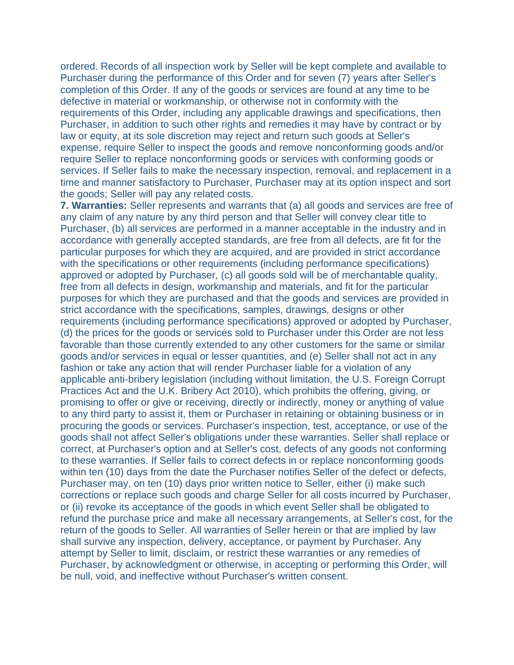ordered. Records of all inspection work by Seller will be kept complete and available to Purchaser during the performance of this Order and for seven (7) years after Seller's completion of this Order. If any of the goods or services are found at any time to be defective in material or workmanship, or otherwise not in conformity with the requirements of this Order, including any applicable drawings and specifications, then Purchaser, in addition to such other rights and remedies it may have by contract or by law or equity, at its sole discretion may reject and return such goods at Seller's expense, require Seller to inspect the goods and remove nonconforming goods and/or require Seller to replace nonconforming goods or services with conforming goods or services. If Seller fails to make the necessary inspection, removal, and replacement in a time and manner satisfactory to Purchaser, Purchaser may at its option inspect and sort the goods; Seller will pay any related costs.

**7. Warranties:** Seller represents and warrants that (a) all goods and services are free of any claim of any nature by any third person and that Seller will convey clear title to Purchaser, (b) all services are performed in a manner acceptable in the industry and in accordance with generally accepted standards, are free from all defects, are fit for the particular purposes for which they are acquired, and are provided in strict accordance with the specifications or other requirements (including performance specifications) approved or adopted by Purchaser, (c) all goods sold will be of merchantable quality, free from all defects in design, workmanship and materials, and fit for the particular purposes for which they are purchased and that the goods and services are provided in strict accordance with the specifications, samples, drawings, designs or other requirements (including performance specifications) approved or adopted by Purchaser, (d) the prices for the goods or services sold to Purchaser under this Order are not less favorable than those currently extended to any other customers for the same or similar goods and/or services in equal or lesser quantities, and (e) Seller shall not act in any fashion or take any action that will render Purchaser liable for a violation of any applicable anti-bribery legislation (including without limitation, the U.S. Foreign Corrupt Practices Act and the U.K. Bribery Act 2010), which prohibits the offering, giving, or promising to offer or give or receiving, directly or indirectly, money or anything of value to any third party to assist it, them or Purchaser in retaining or obtaining business or in procuring the goods or services. Purchaser's inspection, test, acceptance, or use of the goods shall not affect Seller's obligations under these warranties. Seller shall replace or correct, at Purchaser's option and at Seller's cost, defects of any goods not conforming to these warranties. If Seller fails to correct defects in or replace nonconforming goods within ten (10) days from the date the Purchaser notifies Seller of the defect or defects, Purchaser may, on ten (10) days prior written notice to Seller, either (i) make such corrections or replace such goods and charge Seller for all costs incurred by Purchaser, or (ii) revoke its acceptance of the goods in which event Seller shall be obligated to refund the purchase price and make all necessary arrangements, at Seller's cost, for the return of the goods to Seller. All warranties of Seller herein or that are implied by law shall survive any inspection, delivery, acceptance, or payment by Purchaser. Any attempt by Seller to limit, disclaim, or restrict these warranties or any remedies of Purchaser, by acknowledgment or otherwise, in accepting or performing this Order, will be null, void, and ineffective without Purchaser's written consent.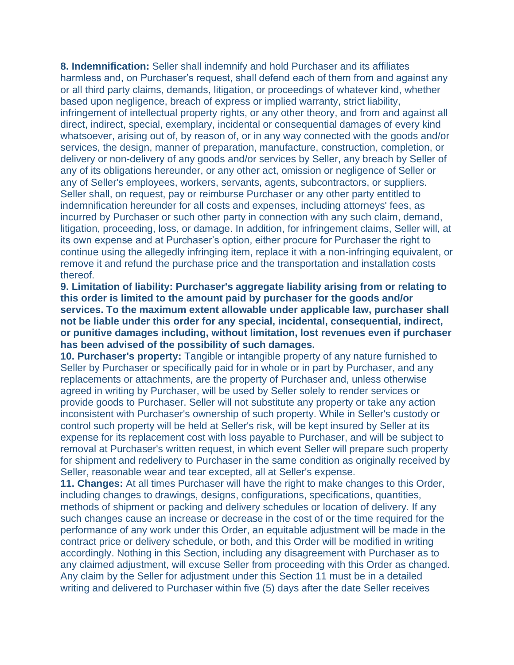**8. Indemnification:** Seller shall indemnify and hold Purchaser and its affiliates harmless and, on Purchaser's request, shall defend each of them from and against any or all third party claims, demands, litigation, or proceedings of whatever kind, whether based upon negligence, breach of express or implied warranty, strict liability, infringement of intellectual property rights, or any other theory, and from and against all direct, indirect, special, exemplary, incidental or consequential damages of every kind whatsoever, arising out of, by reason of, or in any way connected with the goods and/or services, the design, manner of preparation, manufacture, construction, completion, or delivery or non-delivery of any goods and/or services by Seller, any breach by Seller of any of its obligations hereunder, or any other act, omission or negligence of Seller or any of Seller's employees, workers, servants, agents, subcontractors, or suppliers. Seller shall, on request, pay or reimburse Purchaser or any other party entitled to indemnification hereunder for all costs and expenses, including attorneys' fees, as incurred by Purchaser or such other party in connection with any such claim, demand, litigation, proceeding, loss, or damage. In addition, for infringement claims, Seller will, at its own expense and at Purchaser's option, either procure for Purchaser the right to continue using the allegedly infringing item, replace it with a non-infringing equivalent, or remove it and refund the purchase price and the transportation and installation costs thereof.

**9. Limitation of liability: Purchaser's aggregate liability arising from or relating to this order is limited to the amount paid by purchaser for the goods and/or services. To the maximum extent allowable under applicable law, purchaser shall not be liable under this order for any special, incidental, consequential, indirect, or punitive damages including, without limitation, lost revenues even if purchaser has been advised of the possibility of such damages.**

**10. Purchaser's property:** Tangible or intangible property of any nature furnished to Seller by Purchaser or specifically paid for in whole or in part by Purchaser, and any replacements or attachments, are the property of Purchaser and, unless otherwise agreed in writing by Purchaser, will be used by Seller solely to render services or provide goods to Purchaser. Seller will not substitute any property or take any action inconsistent with Purchaser's ownership of such property. While in Seller's custody or control such property will be held at Seller's risk, will be kept insured by Seller at its expense for its replacement cost with loss payable to Purchaser, and will be subject to removal at Purchaser's written request, in which event Seller will prepare such property for shipment and redelivery to Purchaser in the same condition as originally received by Seller, reasonable wear and tear excepted, all at Seller's expense.

**11. Changes:** At all times Purchaser will have the right to make changes to this Order, including changes to drawings, designs, configurations, specifications, quantities, methods of shipment or packing and delivery schedules or location of delivery. If any such changes cause an increase or decrease in the cost of or the time required for the performance of any work under this Order, an equitable adjustment will be made in the contract price or delivery schedule, or both, and this Order will be modified in writing accordingly. Nothing in this Section, including any disagreement with Purchaser as to any claimed adjustment, will excuse Seller from proceeding with this Order as changed. Any claim by the Seller for adjustment under this Section 11 must be in a detailed writing and delivered to Purchaser within five (5) days after the date Seller receives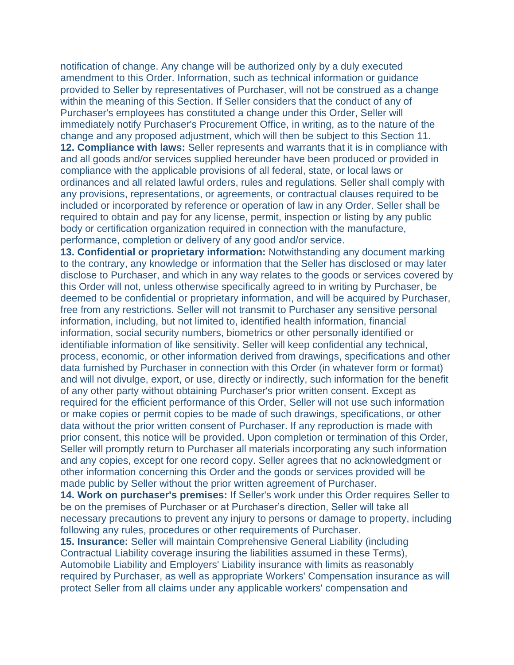notification of change. Any change will be authorized only by a duly executed amendment to this Order. Information, such as technical information or guidance provided to Seller by representatives of Purchaser, will not be construed as a change within the meaning of this Section. If Seller considers that the conduct of any of Purchaser's employees has constituted a change under this Order, Seller will immediately notify Purchaser's Procurement Office, in writing, as to the nature of the change and any proposed adjustment, which will then be subject to this Section 11. **12. Compliance with laws:** Seller represents and warrants that it is in compliance with and all goods and/or services supplied hereunder have been produced or provided in compliance with the applicable provisions of all federal, state, or local laws or ordinances and all related lawful orders, rules and regulations. Seller shall comply with any provisions, representations, or agreements, or contractual clauses required to be included or incorporated by reference or operation of law in any Order. Seller shall be required to obtain and pay for any license, permit, inspection or listing by any public body or certification organization required in connection with the manufacture, performance, completion or delivery of any good and/or service.

**13. Confidential or proprietary information:** Notwithstanding any document marking to the contrary, any knowledge or information that the Seller has disclosed or may later disclose to Purchaser, and which in any way relates to the goods or services covered by this Order will not, unless otherwise specifically agreed to in writing by Purchaser, be deemed to be confidential or proprietary information, and will be acquired by Purchaser, free from any restrictions. Seller will not transmit to Purchaser any sensitive personal information, including, but not limited to, identified health information, financial information, social security numbers, biometrics or other personally identified or identifiable information of like sensitivity. Seller will keep confidential any technical, process, economic, or other information derived from drawings, specifications and other data furnished by Purchaser in connection with this Order (in whatever form or format) and will not divulge, export, or use, directly or indirectly, such information for the benefit of any other party without obtaining Purchaser's prior written consent. Except as required for the efficient performance of this Order, Seller will not use such information or make copies or permit copies to be made of such drawings, specifications, or other data without the prior written consent of Purchaser. If any reproduction is made with prior consent, this notice will be provided. Upon completion or termination of this Order, Seller will promptly return to Purchaser all materials incorporating any such information and any copies, except for one record copy. Seller agrees that no acknowledgment or other information concerning this Order and the goods or services provided will be made public by Seller without the prior written agreement of Purchaser.

**14. Work on purchaser's premises:** If Seller's work under this Order requires Seller to be on the premises of Purchaser or at Purchaser's direction, Seller will take all necessary precautions to prevent any injury to persons or damage to property, including following any rules, procedures or other requirements of Purchaser.

**15. Insurance:** Seller will maintain Comprehensive General Liability (including Contractual Liability coverage insuring the liabilities assumed in these Terms), Automobile Liability and Employers' Liability insurance with limits as reasonably required by Purchaser, as well as appropriate Workers' Compensation insurance as will protect Seller from all claims under any applicable workers' compensation and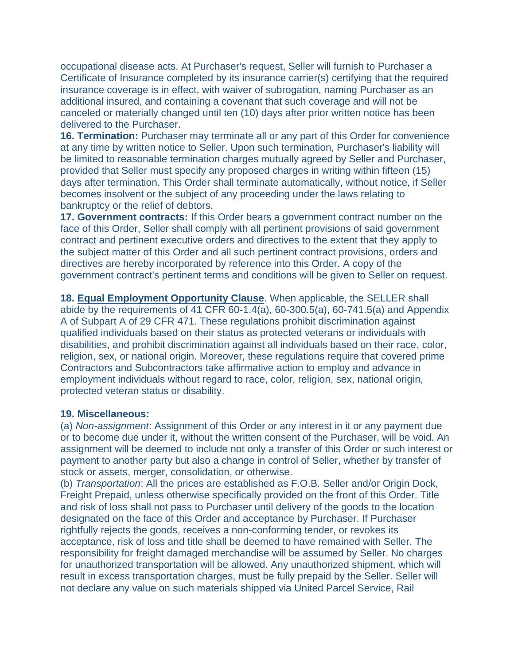occupational disease acts. At Purchaser's request, Seller will furnish to Purchaser a Certificate of Insurance completed by its insurance carrier(s) certifying that the required insurance coverage is in effect, with waiver of subrogation, naming Purchaser as an additional insured, and containing a covenant that such coverage and will not be canceled or materially changed until ten (10) days after prior written notice has been delivered to the Purchaser.

**16. Termination:** Purchaser may terminate all or any part of this Order for convenience at any time by written notice to Seller. Upon such termination, Purchaser's liability will be limited to reasonable termination charges mutually agreed by Seller and Purchaser, provided that Seller must specify any proposed charges in writing within fifteen (15) days after termination. This Order shall terminate automatically, without notice, if Seller becomes insolvent or the subject of any proceeding under the laws relating to bankruptcy or the relief of debtors.

**17. Government contracts:** If this Order bears a government contract number on the face of this Order, Seller shall comply with all pertinent provisions of said government contract and pertinent executive orders and directives to the extent that they apply to the subject matter of this Order and all such pertinent contract provisions, orders and directives are hereby incorporated by reference into this Order. A copy of the government contract's pertinent terms and conditions will be given to Seller on request.

**18. [Equal Employment Opportunity Clause](https://www.lawinsider.com/clause/equal-employment-opportunity-clause)**. When applicable, the SELLER shall abide by the requirements of 41 CFR 60-1.4(a), 60-300.5(a), 60-741.5(a) and Appendix A of Subpart A of 29 CFR 471. These regulations prohibit discrimination against qualified individuals based on their status as protected veterans or individuals with disabilities, and prohibit discrimination against all individuals based on their race, color, religion, sex, or national origin. Moreover, these regulations require that covered prime Contractors and Subcontractors take affirmative action to employ and advance in employment individuals without regard to race, color, religion, sex, national origin, protected veteran status or disability.

## **19. Miscellaneous:**

(a) *Non-assignment*: Assignment of this Order or any interest in it or any payment due or to become due under it, without the written consent of the Purchaser, will be void. An assignment will be deemed to include not only a transfer of this Order or such interest or payment to another party but also a change in control of Seller, whether by transfer of stock or assets, merger, consolidation, or otherwise.

(b) *Transportation*: All the prices are established as F.O.B. Seller and/or Origin Dock, Freight Prepaid, unless otherwise specifically provided on the front of this Order. Title and risk of loss shall not pass to Purchaser until delivery of the goods to the location designated on the face of this Order and acceptance by Purchaser. If Purchaser rightfully rejects the goods, receives a non-conforming tender, or revokes its acceptance, risk of loss and title shall be deemed to have remained with Seller. The responsibility for freight damaged merchandise will be assumed by Seller. No charges for unauthorized transportation will be allowed. Any unauthorized shipment, which will result in excess transportation charges, must be fully prepaid by the Seller. Seller will not declare any value on such materials shipped via United Parcel Service, Rail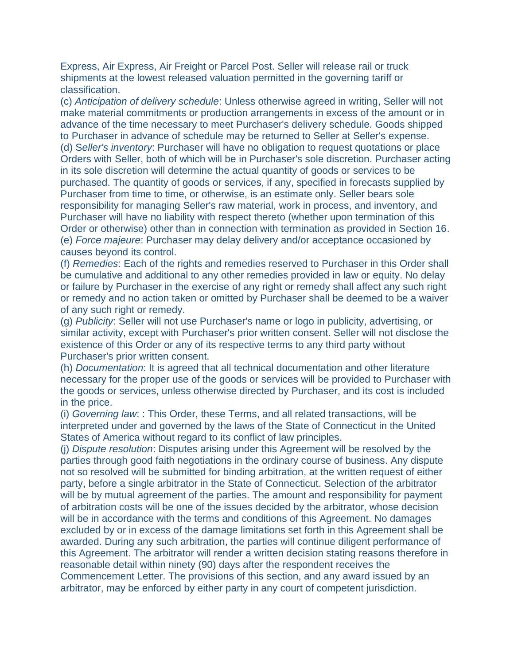Express, Air Express, Air Freight or Parcel Post. Seller will release rail or truck shipments at the lowest released valuation permitted in the governing tariff or classification.

(c) *Anticipation of delivery schedule*: Unless otherwise agreed in writing, Seller will not make material commitments or production arrangements in excess of the amount or in advance of the time necessary to meet Purchaser's delivery schedule. Goods shipped to Purchaser in advance of schedule may be returned to Seller at Seller's expense. (d) S*eller's inventory*: Purchaser will have no obligation to request quotations or place Orders with Seller, both of which will be in Purchaser's sole discretion. Purchaser acting in its sole discretion will determine the actual quantity of goods or services to be purchased. The quantity of goods or services, if any, specified in forecasts supplied by Purchaser from time to time, or otherwise, is an estimate only. Seller bears sole responsibility for managing Seller's raw material, work in process, and inventory, and Purchaser will have no liability with respect thereto (whether upon termination of this Order or otherwise) other than in connection with termination as provided in Section 16. (e) *Force majeure*: Purchaser may delay delivery and/or acceptance occasioned by causes beyond its control.

(f) *Remedies*: Each of the rights and remedies reserved to Purchaser in this Order shall be cumulative and additional to any other remedies provided in law or equity. No delay or failure by Purchaser in the exercise of any right or remedy shall affect any such right or remedy and no action taken or omitted by Purchaser shall be deemed to be a waiver of any such right or remedy.

(g) *Publicity*: Seller will not use Purchaser's name or logo in publicity, advertising, or similar activity, except with Purchaser's prior written consent. Seller will not disclose the existence of this Order or any of its respective terms to any third party without Purchaser's prior written consent.

(h) *Documentation*: It is agreed that all technical documentation and other literature necessary for the proper use of the goods or services will be provided to Purchaser with the goods or services, unless otherwise directed by Purchaser, and its cost is included in the price.

(i) *Governing law*: : This Order, these Terms, and all related transactions, will be interpreted under and governed by the laws of the State of Connecticut in the United States of America without regard to its conflict of law principles.

(j) *Dispute resolution*: Disputes arising under this Agreement will be resolved by the parties through good faith negotiations in the ordinary course of business. Any dispute not so resolved will be submitted for binding arbitration, at the written request of either party, before a single arbitrator in the State of Connecticut. Selection of the arbitrator will be by mutual agreement of the parties. The amount and responsibility for payment of arbitration costs will be one of the issues decided by the arbitrator, whose decision will be in accordance with the terms and conditions of this Agreement. No damages excluded by or in excess of the damage limitations set forth in this Agreement shall be awarded. During any such arbitration, the parties will continue diligent performance of this Agreement. The arbitrator will render a written decision stating reasons therefore in reasonable detail within ninety (90) days after the respondent receives the Commencement Letter. The provisions of this section, and any award issued by an arbitrator, may be enforced by either party in any court of competent jurisdiction.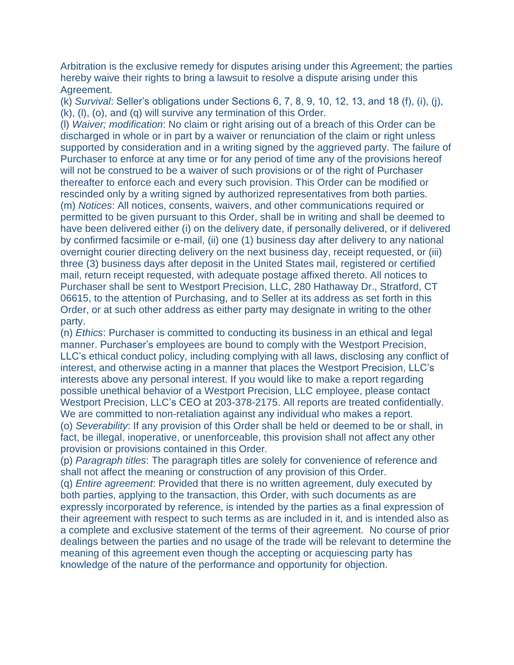Arbitration is the exclusive remedy for disputes arising under this Agreement; the parties hereby waive their rights to bring a lawsuit to resolve a dispute arising under this Agreement.

(k) *Survival*: Seller's obligations under Sections 6, 7, 8, 9, 10, 12, 13, and 18 (f), (i), (j), (k), (l), (o), and (q) will survive any termination of this Order.

(l) *Waiver; modification*: No claim or right arising out of a breach of this Order can be discharged in whole or in part by a waiver or renunciation of the claim or right unless supported by consideration and in a writing signed by the aggrieved party. The failure of Purchaser to enforce at any time or for any period of time any of the provisions hereof will not be construed to be a waiver of such provisions or of the right of Purchaser thereafter to enforce each and every such provision. This Order can be modified or rescinded only by a writing signed by authorized representatives from both parties. (m) *Notices*: All notices, consents, waivers, and other communications required or permitted to be given pursuant to this Order, shall be in writing and shall be deemed to have been delivered either (i) on the delivery date, if personally delivered, or if delivered by confirmed facsimile or e-mail, (ii) one (1) business day after delivery to any national overnight courier directing delivery on the next business day, receipt requested, or (iii) three (3) business days after deposit in the United States mail, registered or certified mail, return receipt requested, with adequate postage affixed thereto. All notices to Purchaser shall be sent to Westport Precision, LLC, 280 Hathaway Dr., Stratford, CT 06615, to the attention of Purchasing, and to Seller at its address as set forth in this Order, or at such other address as either party may designate in writing to the other party.

(n) *Ethics*: Purchaser is committed to conducting its business in an ethical and legal manner. Purchaser's employees are bound to comply with the Westport Precision, LLC's ethical conduct policy, including complying with all laws, disclosing any conflict of interest, and otherwise acting in a manner that places the Westport Precision, LLC's interests above any personal interest. If you would like to make a report regarding possible unethical behavior of a Westport Precision, LLC employee, please contact Westport Precision, LLC's CEO at 203-378-2175. All reports are treated confidentially. We are committed to non-retaliation against any individual who makes a report. (o) *Severability*: If any provision of this Order shall be held or deemed to be or shall, in fact, be illegal, inoperative, or unenforceable, this provision shall not affect any other provision or provisions contained in this Order.

(p) *Paragraph titles*: The paragraph titles are solely for convenience of reference and shall not affect the meaning or construction of any provision of this Order.

(q) *Entire agreement*: Provided that there is no written agreement, duly executed by both parties, applying to the transaction, this Order, with such documents as are expressly incorporated by reference, is intended by the parties as a final expression of their agreement with respect to such terms as are included in it, and is intended also as a complete and exclusive statement of the terms of their agreement. No course of prior dealings between the parties and no usage of the trade will be relevant to determine the meaning of this agreement even though the accepting or acquiescing party has knowledge of the nature of the performance and opportunity for objection.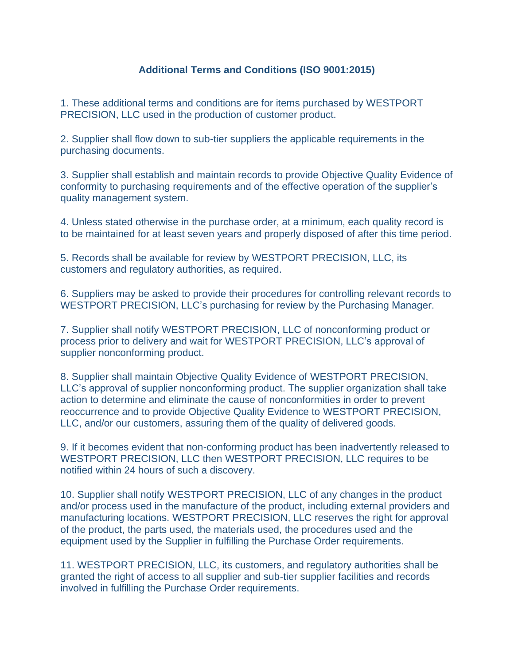## **Additional Terms and Conditions (ISO 9001:2015)**

1. These additional terms and conditions are for items purchased by WESTPORT PRECISION, LLC used in the production of customer product.

2. Supplier shall flow down to sub-tier suppliers the applicable requirements in the purchasing documents.

3. Supplier shall establish and maintain records to provide Objective Quality Evidence of conformity to purchasing requirements and of the effective operation of the supplier's quality management system.

4. Unless stated otherwise in the purchase order, at a minimum, each quality record is to be maintained for at least seven years and properly disposed of after this time period.

5. Records shall be available for review by WESTPORT PRECISION, LLC, its customers and regulatory authorities, as required.

6. Suppliers may be asked to provide their procedures for controlling relevant records to WESTPORT PRECISION, LLC's purchasing for review by the Purchasing Manager.

7. Supplier shall notify WESTPORT PRECISION, LLC of nonconforming product or process prior to delivery and wait for WESTPORT PRECISION, LLC's approval of supplier nonconforming product.

8. Supplier shall maintain Objective Quality Evidence of WESTPORT PRECISION, LLC's approval of supplier nonconforming product. The supplier organization shall take action to determine and eliminate the cause of nonconformities in order to prevent reoccurrence and to provide Objective Quality Evidence to WESTPORT PRECISION, LLC, and/or our customers, assuring them of the quality of delivered goods.

9. If it becomes evident that non-conforming product has been inadvertently released to WESTPORT PRECISION, LLC then WESTPORT PRECISION, LLC requires to be notified within 24 hours of such a discovery.

10. Supplier shall notify WESTPORT PRECISION, LLC of any changes in the product and/or process used in the manufacture of the product, including external providers and manufacturing locations. WESTPORT PRECISION, LLC reserves the right for approval of the product, the parts used, the materials used, the procedures used and the equipment used by the Supplier in fulfilling the Purchase Order requirements.

11. WESTPORT PRECISION, LLC, its customers, and regulatory authorities shall be granted the right of access to all supplier and sub-tier supplier facilities and records involved in fulfilling the Purchase Order requirements.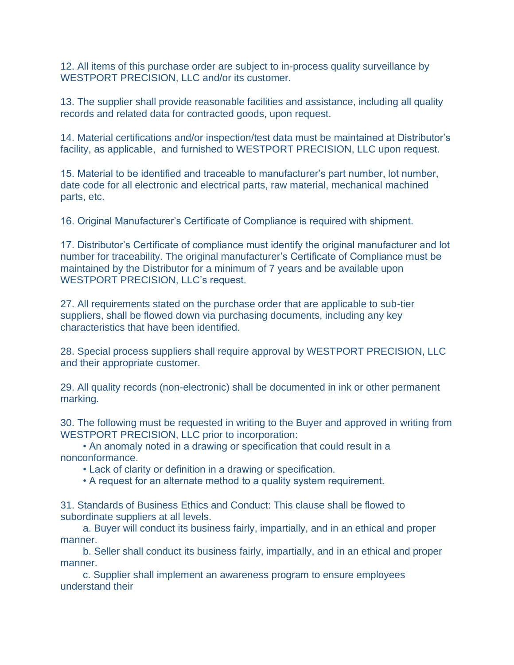12. All items of this purchase order are subject to in-process quality surveillance by WESTPORT PRECISION, LLC and/or its customer.

13. The supplier shall provide reasonable facilities and assistance, including all quality records and related data for contracted goods, upon request.

14. Material certifications and/or inspection/test data must be maintained at Distributor's facility, as applicable, and furnished to WESTPORT PRECISION, LLC upon request.

15. Material to be identified and traceable to manufacturer's part number, lot number, date code for all electronic and electrical parts, raw material, mechanical machined parts, etc.

16. Original Manufacturer's Certificate of Compliance is required with shipment.

17. Distributor's Certificate of compliance must identify the original manufacturer and lot number for traceability. The original manufacturer's Certificate of Compliance must be maintained by the Distributor for a minimum of 7 years and be available upon WESTPORT PRECISION, LLC's request.

27. All requirements stated on the purchase order that are applicable to sub-tier suppliers, shall be flowed down via purchasing documents, including any key characteristics that have been identified.

28. Special process suppliers shall require approval by WESTPORT PRECISION, LLC and their appropriate customer.

29. All quality records (non-electronic) shall be documented in ink or other permanent marking.

30. The following must be requested in writing to the Buyer and approved in writing from WESTPORT PRECISION, LLC prior to incorporation:

 • An anomaly noted in a drawing or specification that could result in a nonconformance.

• Lack of clarity or definition in a drawing or specification.

• A request for an alternate method to a quality system requirement.

31. Standards of Business Ethics and Conduct: This clause shall be flowed to subordinate suppliers at all levels.

 a. Buyer will conduct its business fairly, impartially, and in an ethical and proper manner.

 b. Seller shall conduct its business fairly, impartially, and in an ethical and proper manner.

 c. Supplier shall implement an awareness program to ensure employees understand their